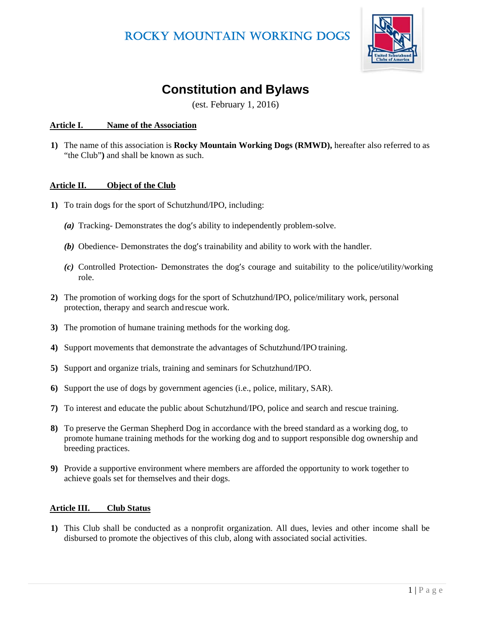

# **Constitution and Bylaws**

(est. February 1, 2016)

#### **Article I. Name of the Association**

**1)** The name of this association is **Rocky Mountain Working Dogs (RMWD),** hereafter also referred to as "the Club"**)** and shall be known as such.

#### **Article II. Object of the Club**

- **1)** To train dogs for the sport of Schutzhund/IPO, including:
	- *(a)* Tracking- Demonstrates the dog's ability to independently problem-solve.
	- *(b)* Obedience- Demonstrates the dog's trainability and ability to work with the handler.
	- *(c)* Controlled Protection- Demonstrates the dog's courage and suitability to the police/utility/working role.
- **2)** The promotion of working dogs for the sport of Schutzhund/IPO, police/military work, personal protection, therapy and search and rescue work.
- **3)** The promotion of humane training methods for the working dog.
- **4)** Support movements that demonstrate the advantages of Schutzhund/IPO training.
- **5)** Support and organize trials, training and seminars for Schutzhund/IPO.
- **6)** Support the use of dogs by government agencies (i.e., police, military, SAR).
- **7)** To interest and educate the public about Schutzhund/IPO, police and search and rescue training.
- **8)** To preserve the German Shepherd Dog in accordance with the breed standard as a working dog, to promote humane training methods for the working dog and to support responsible dog ownership and breeding practices.
- **9)** Provide a supportive environment where members are afforded the opportunity to work together to achieve goals set for themselves and their dogs.

#### **Article III. Club Status**

**1)** This Club shall be conducted as a nonprofit organization. All dues, levies and other income shall be disbursed to promote the objectives of this club, along with associated social activities.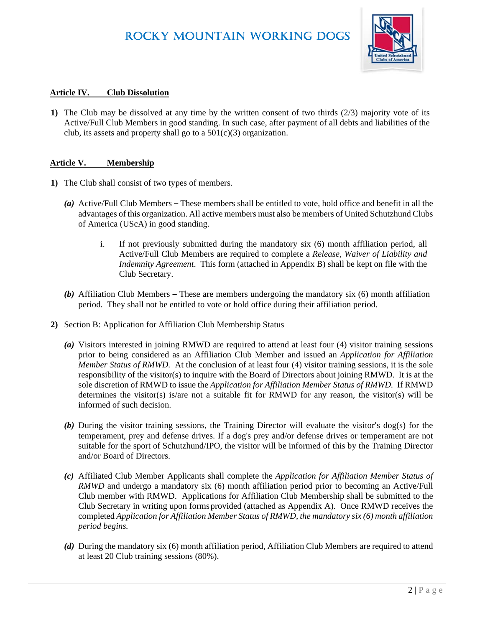

#### **Article IV. Club Dissolution**

**1)** The Club may be dissolved at any time by the written consent of two thirds (2/3) majority vote of its Active/Full Club Members in good standing. In such case, after payment of all debts and liabilities of the club, its assets and property shall go to a  $501(c)(3)$  organization.

#### **Article V. Membership**

- **1)** The Club shall consist of two types of members.
	- *(a)* Active/Full Club Members These members shall be entitled to vote, hold office and benefit in all the advantages of this organization. All active members must also be members of United Schutzhund Clubs of America (UScA) in good standing.
		- i. If not previously submitted during the mandatory six (6) month affiliation period, all Active/Full Club Members are required to complete a *Release, Waiver of Liability and Indemnity Agreement*. This form (attached in Appendix B) shall be kept on file with the Club Secretary.
	- *(b)* Affiliation Club Members These are members undergoing the mandatory six (6) month affiliation period. They shall not be entitled to vote or hold office during their affiliation period.
- **2)** Section B: Application for Affiliation Club Membership Status
	- *(a)* Visitors interested in joining RMWD are required to attend at least four (4) visitor training sessions prior to being considered as an Affiliation Club Member and issued an *Application for Affiliation Member Status of RMWD.* At the conclusion of at least four (4) visitor training sessions, it is the sole responsibility of the visitor(s) to inquire with the Board of Directors about joining RMWD. It is at the sole discretion of RMWD to issue the *Application for Affiliation Member Status of RMWD.* If RMWD determines the visitor(s) is/are not a suitable fit for RMWD for any reason, the visitor(s) will be informed of such decision.
	- *(b)* During the visitor training sessions, the Training Director will evaluate the visitor's dog(s) for the temperament, prey and defense drives. If a dog's prey and/or defense drives or temperament are not suitable for the sport of Schutzhund/IPO, the visitor will be informed of this by the Training Director and/or Board of Directors.
	- *(c)* Affiliated Club Member Applicants shall complete the *Application for Affiliation Member Status of RMWD* and undergo a mandatory six (6) month affiliation period prior to becoming an Active/Full Club member with RMWD. Applications for Affiliation Club Membership shall be submitted to the Club Secretary in writing upon forms provided (attached as Appendix A). Once RMWD receives the completed *Application for Affiliation Member Status of RMWD, the mandatory six (6) month affiliation period begins.*
	- *(d)* During the mandatory six (6) month affiliation period, Affiliation Club Members are required to attend at least 20 Club training sessions (80%).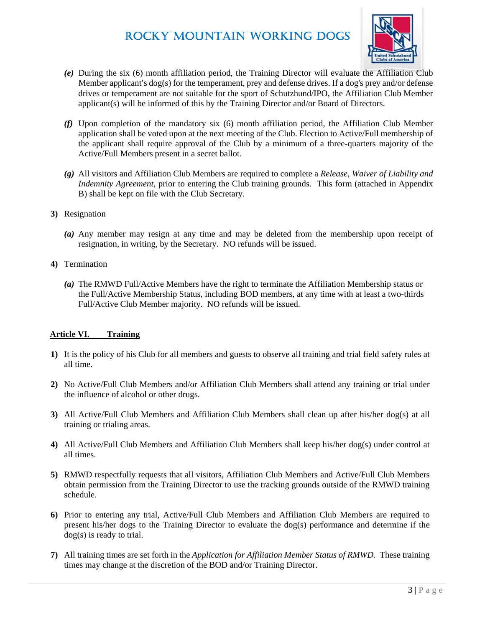

- *(e)* During the six (6) month affiliation period, the Training Director will evaluate the Affiliation Club Member applicant's dog(s) for the temperament, prey and defense drives. If a dog's prey and/or defense drives or temperament are not suitable for the sport of Schutzhund/IPO, the Affiliation Club Member applicant(s) will be informed of this by the Training Director and/or Board of Directors.
- *(f)* Upon completion of the mandatory six (6) month affiliation period, the Affiliation Club Member application shall be voted upon at the next meeting of the Club. Election to Active/Full membership of the applicant shall require approval of the Club by a minimum of a three-quarters majority of the Active/Full Members present in a secret ballot.
- *(g)* All visitors and Affiliation Club Members are required to complete a *Release, Waiver of Liability and Indemnity Agreement,* prior to entering the Club training grounds. This form (attached in Appendix B) shall be kept on file with the Club Secretary.
- **3)** Resignation
	- *(a)* Any member may resign at any time and may be deleted from the membership upon receipt of resignation, in writing, by the Secretary. NO refunds will be issued.
- **4)** Termination
	- *(a)* The RMWD Full/Active Members have the right to terminate the Affiliation Membership status or the Full/Active Membership Status, including BOD members, at any time with at least a two-thirds Full/Active Club Member majority. NO refunds will be issued.

#### **Article VI. Training**

- **1)** It is the policy of his Club for all members and guests to observe all training and trial field safety rules at all time.
- **2)** No Active/Full Club Members and/or Affiliation Club Members shall attend any training or trial under the influence of alcohol or other drugs.
- **3)** All Active/Full Club Members and Affiliation Club Members shall clean up after his/her dog(s) at all training or trialing areas.
- **4)** All Active/Full Club Members and Affiliation Club Members shall keep his/her dog(s) under control at all times.
- **5)** RMWD respectfully requests that all visitors, Affiliation Club Members and Active/Full Club Members obtain permission from the Training Director to use the tracking grounds outside of the RMWD training schedule.
- **6)** Prior to entering any trial, Active/Full Club Members and Affiliation Club Members are required to present his/her dogs to the Training Director to evaluate the dog(s) performance and determine if the dog(s) is ready to trial.
- **7)** All training times are set forth in the *Application for Affiliation Member Status of RMWD.* These training times may change at the discretion of the BOD and/or Training Director.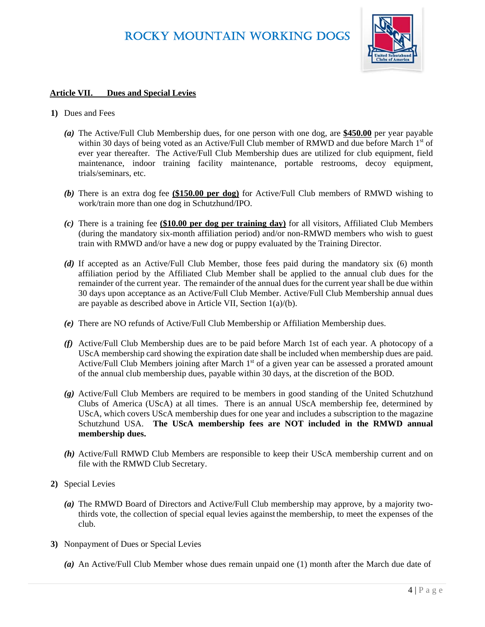

#### **Article VII. Dues and Special Levies**

- **1)** Dues and Fees
	- *(a)* The Active/Full Club Membership dues, for one person with one dog, are **\$450.00** per year payable within 30 days of being voted as an Active/Full Club member of RMWD and due before March 1<sup>st</sup> of ever year thereafter. The Active/Full Club Membership dues are utilized for club equipment, field maintenance, indoor training facility maintenance, portable restrooms, decoy equipment, trials/seminars, etc.
	- *(b)* There is an extra dog fee **(\$150.00 per dog)** for Active/Full Club members of RMWD wishing to work/train more than one dog in Schutzhund/IPO.
	- *(c)* There is a training fee **(\$10.00 per dog per training day)** for all visitors, Affiliated Club Members (during the mandatory six-month affiliation period) and/or non-RMWD members who wish to guest train with RMWD and/or have a new dog or puppy evaluated by the Training Director.
	- *(d)* If accepted as an Active/Full Club Member, those fees paid during the mandatory six (6) month affiliation period by the Affiliated Club Member shall be applied to the annual club dues for the remainder of the current year. The remainder of the annual dues for the current year shall be due within 30 days upon acceptance as an Active/Full Club Member. Active/Full Club Membership annual dues are payable as described above in Article VII, Section 1(a)/(b).
	- *(e)* There are NO refunds of Active/Full Club Membership or Affiliation Membership dues.
	- *(f)* Active/Full Club Membership dues are to be paid before March 1st of each year. A photocopy of a UScA membership card showing the expiration date shall be included when membership dues are paid. Active/Full Club Members joining after March 1<sup>st</sup> of a given year can be assessed a prorated amount of the annual club membership dues, payable within 30 days, at the discretion of the BOD.
	- *(g)* Active/Full Club Members are required to be members in good standing of the United Schutzhund Clubs of America (UScA) at all times. There is an annual UScA membership fee, determined by UScA, which covers UScA membership dues for one year and includes a subscription to the magazine Schutzhund USA. **The UScA membership fees are NOT included in the RMWD annual membership dues.**
	- *(h)* Active/Full RMWD Club Members are responsible to keep their UScA membership current and on file with the RMWD Club Secretary.
- **2)** Special Levies
	- *(a)* The RMWD Board of Directors and Active/Full Club membership may approve, by a majority twothirds vote, the collection of special equal levies against the membership, to meet the expenses of the club.
- **3)** Nonpayment of Dues or Special Levies
	- *(a)* An Active/Full Club Member whose dues remain unpaid one (1) month after the March due date of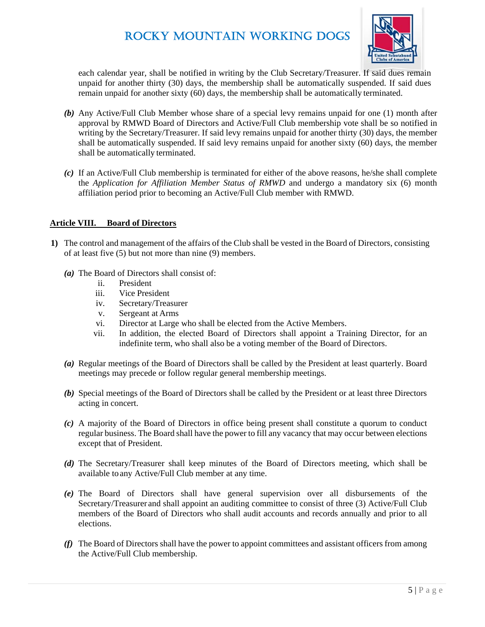

each calendar year, shall be notified in writing by the Club Secretary/Treasurer. If said dues remain unpaid for another thirty (30) days, the membership shall be automatically suspended. If said dues remain unpaid for another sixty (60) days, the membership shall be automatically terminated.

- *(b)* Any Active/Full Club Member whose share of a special levy remains unpaid for one (1) month after approval by RMWD Board of Directors and Active/Full Club membership vote shall be so notified in writing by the Secretary/Treasurer. If said levy remains unpaid for another thirty (30) days, the member shall be automatically suspended. If said levy remains unpaid for another sixty (60) days, the member shall be automatically terminated.
- *(c)* If an Active/Full Club membership is terminated for either of the above reasons, he/she shall complete the *Application for Affiliation Member Status of RMWD* and undergo a mandatory six (6) month affiliation period prior to becoming an Active/Full Club member with RMWD.

#### **Article VIII. Board of Directors**

- **1)** The control and management of the affairs of the Club shall be vested in the Board of Directors, consisting of at least five (5) but not more than nine (9) members.
	- *(a)* The Board of Directors shall consist of:
		- ii. President
		- iii. Vice President
		- iv. Secretary/Treasurer
		- v. Sergeant at Arms
		- vi. Director at Large who shall be elected from the Active Members.
		- vii. In addition, the elected Board of Directors shall appoint a Training Director, for an indefinite term, who shall also be a voting member of the Board of Directors.
	- *(a)* Regular meetings of the Board of Directors shall be called by the President at least quarterly. Board meetings may precede or follow regular general membership meetings.
	- *(b)* Special meetings of the Board of Directors shall be called by the President or at least three Directors acting in concert.
	- *(c)* A majority of the Board of Directors in office being present shall constitute a quorum to conduct regular business. The Board shall have the power to fill any vacancy that may occur between elections except that of President.
	- *(d)* The Secretary/Treasurer shall keep minutes of the Board of Directors meeting, which shall be available to any Active/Full Club member at any time.
	- *(e)* The Board of Directors shall have general supervision over all disbursements of the Secretary/Treasurer and shall appoint an auditing committee to consist of three (3) Active/Full Club members of the Board of Directors who shall audit accounts and records annually and prior to all elections.
	- *(f)* The Board of Directors shall have the power to appoint committees and assistant officers from among the Active/Full Club membership.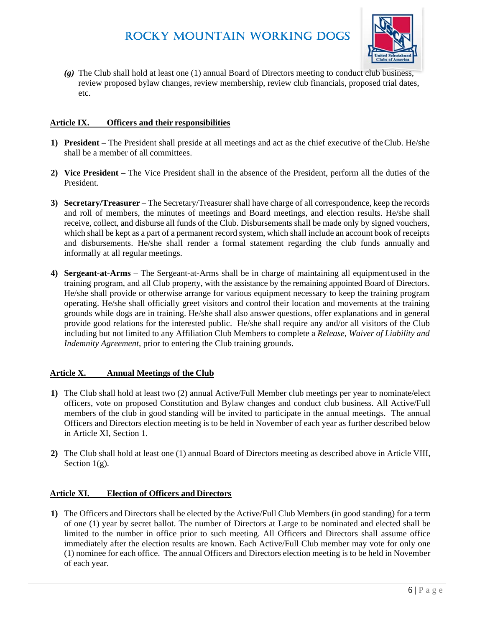

*(g)* The Club shall hold at least one (1) annual Board of Directors meeting to conduct club business, review proposed bylaw changes, review membership, review club financials, proposed trial dates, etc.

#### **Article IX. Officers and their responsibilities**

- **1) President**  The President shall preside at all meetings and act as the chief executive of the Club. He/she shall be a member of all committees.
- **2) Vice President** The Vice President shall in the absence of the President, perform all the duties of the President.
- **3) Secretary/Treasurer**  The Secretary/Treasurer shall have charge of all correspondence, keep the records and roll of members, the minutes of meetings and Board meetings, and election results. He/she shall receive, collect, and disburse all funds of the Club. Disbursements shall be made only by signed vouchers, which shall be kept as a part of a permanent record system, which shall include an account book of receipts and disbursements. He/she shall render a formal statement regarding the club funds annually and informally at all regular meetings.
- **4) Sergeant-at-Arms**  The Sergeant-at-Arms shall be in charge of maintaining all equipment used in the training program, and all Club property, with the assistance by the remaining appointed Board of Directors. He/she shall provide or otherwise arrange for various equipment necessary to keep the training program operating. He/she shall officially greet visitors and control their location and movements at the training grounds while dogs are in training. He/she shall also answer questions, offer explanations and in general provide good relations for the interested public. He/she shall require any and/or all visitors of the Club including but not limited to any Affiliation Club Members to complete a *Release, Waiver of Liability and Indemnity Agreement,* prior to entering the Club training grounds.

#### **Article X. Annual Meetings of the Club**

- **1)** The Club shall hold at least two (2) annual Active/Full Member club meetings per year to nominate/elect officers, vote on proposed Constitution and Bylaw changes and conduct club business. All Active/Full members of the club in good standing will be invited to participate in the annual meetings. The annual Officers and Directors election meeting is to be held in November of each year as further described below in Article XI, Section 1.
- **2)** The Club shall hold at least one (1) annual Board of Directors meeting as described above in Article VIII, Section  $1(g)$ .

#### **Article XI. Election of Officers and Directors**

**1)** The Officers and Directors shall be elected by the Active/Full Club Members (in good standing) for a term of one (1) year by secret ballot. The number of Directors at Large to be nominated and elected shall be limited to the number in office prior to such meeting. All Officers and Directors shall assume office immediately after the election results are known. Each Active/Full Club member may vote for only one (1) nominee for each office. The annual Officers and Directors election meeting is to be held in November of each year.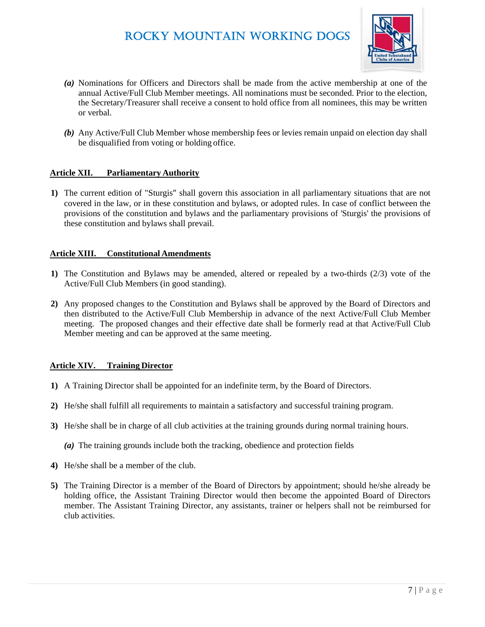

- *(a)* Nominations for Officers and Directors shall be made from the active membership at one of the annual Active/Full Club Member meetings. All nominations must be seconded. Prior to the election, the Secretary/Treasurer shall receive a consent to hold office from all nominees, this may be written or verbal.
- *(b)* Any Active/Full Club Member whose membership fees or levies remain unpaid on election day shall be disqualified from voting or holding office.

#### **Article XII. Parliamentary Authority**

**1)** The current edition of "Sturgis" shall govern this association in all parliamentary situations that are not covered in the law, or in these constitution and bylaws, or adopted rules. In case of conflict between the provisions of the constitution and bylaws and the parliamentary provisions of 'Sturgis' the provisions of these constitution and bylaws shall prevail.

#### **Article XIII. Constitutional Amendments**

- **1)** The Constitution and Bylaws may be amended, altered or repealed by a two-thirds (2/3) vote of the Active/Full Club Members (in good standing).
- **2)** Any proposed changes to the Constitution and Bylaws shall be approved by the Board of Directors and then distributed to the Active/Full Club Membership in advance of the next Active/Full Club Member meeting. The proposed changes and their effective date shall be formerly read at that Active/Full Club Member meeting and can be approved at the same meeting.

#### **Article XIV. Training Director**

- **1)** A Training Director shall be appointed for an indefinite term, by the Board of Directors.
- **2)** He/she shall fulfill all requirements to maintain a satisfactory and successful training program.
- **3)** He/she shall be in charge of all club activities at the training grounds during normal training hours.
	- *(a)* The training grounds include both the tracking, obedience and protection fields
- **4)** He/she shall be a member of the club.
- **5)** The Training Director is a member of the Board of Directors by appointment; should he/she already be holding office, the Assistant Training Director would then become the appointed Board of Directors member. The Assistant Training Director, any assistants, trainer or helpers shall not be reimbursed for club activities.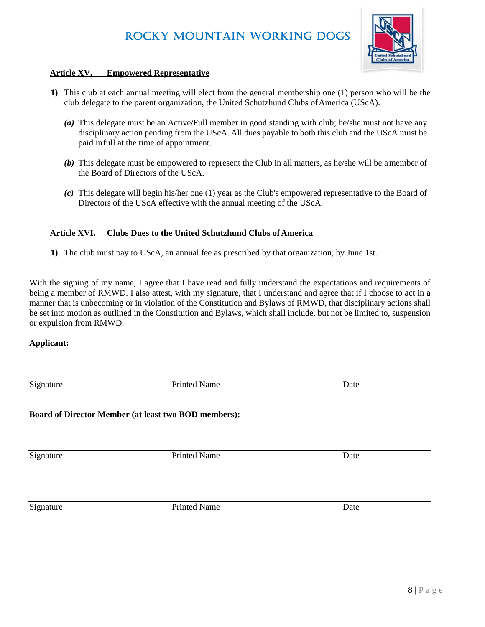

#### **Article XV. Empowered Representative**

- **1)** This club at each annual meeting will elect from the general membership one (1) person who will be the club delegate to the parent organization, the United Schutzhund Clubs of America (UScA).
	- *(a)* This delegate must be an Active/Full member in good standing with club; he/she must not have any disciplinary action pending from the UScA. All dues payable to both this club and the UScA must be paid in full at the time of appointment.
	- *(b)* This delegate must be empowered to represent the Club in all matters, as he/she will be a member of the Board of Directors of the UScA.
	- *(c)* This delegate will begin his/her one (1) year as the Club's empowered representative to the Board of Directors of the UScA effective with the annual meeting of the UScA.

#### **Article XVI. Clubs Dues to the United Schutzhund Clubs of America**

**1)** The club must pay to UScA, an annual fee as prescribed by that organization, by June 1st.

With the signing of my name, I agree that I have read and fully understand the expectations and requirements of being a member of RMWD. I also attest, with my signature, that I understand and agree that if I choose to act in a manner that is unbecoming or in violation of the Constitution and Bylaws of RMWD, that disciplinary actions shall be set into motion as outlined in the Constitution and Bylaws, which shall include, but not be limited to, suspension or expulsion from RMWD.

#### **Applicant:**

| Signature                                            | <b>Printed Name</b> | Date |
|------------------------------------------------------|---------------------|------|
| Board of Director Member (at least two BOD members): |                     |      |
| Signature                                            | <b>Printed Name</b> | Date |
| Signature                                            | <b>Printed Name</b> | Date |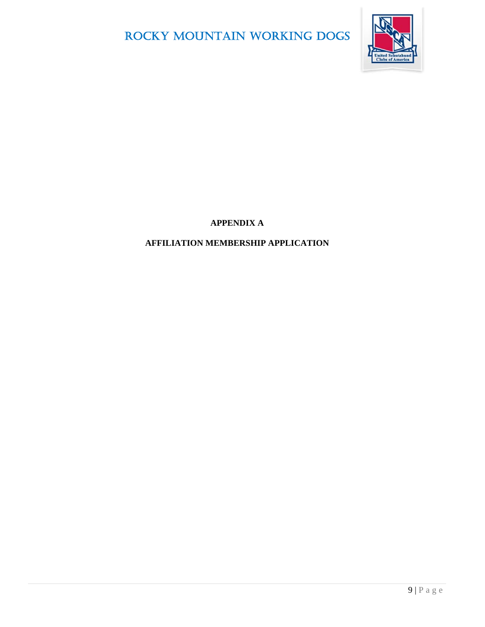

### **APPENDIX A**

## **AFFILIATION MEMBERSHIP APPLICATION**